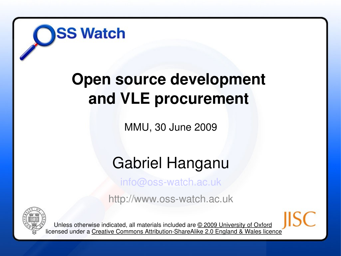

#### **Open source development and VLE procurement**

MMU, 30 June 2009

#### Gabriel Hanganu

info@oss-watch.ac.uk

http://www.oss-watch.ac.uk



Unless otherwise indicated, all materials included are © 2009 University of Oxford licensed under a Creative Commons Attribution-ShareAlike 2.0 England & Wales licence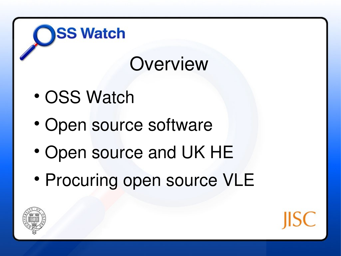# **Overview**

OSS Watch

- Open source software
- Open source and UK HE
- Procuring open source VLE



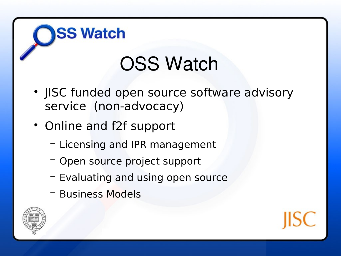## OSS Watch

- JISC funded open source software advisory service (non-advocacy)
- Online and f2f support

- − Licensing and IPR management
- − Open source project support
- − Evaluating and using open source
- − Business Models



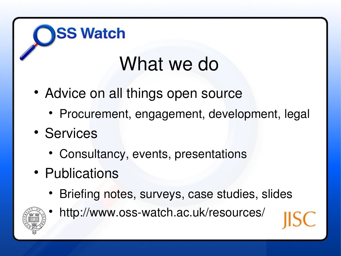## What we do

- Advice on all things open source
	- Procurement, engagement, development, legal
- Services
	- Consultancy, events, presentations
- Publications

**SS Watch** 

• Briefing notes, surveys, case studies, slides



http://www.oss-watch.ac.uk/resources/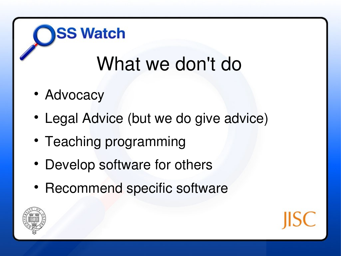# What we don't do

• Advocacy

- Legal Advice (but we do give advice)
- Teaching programming
- Develop software for others
- Recommend specific software



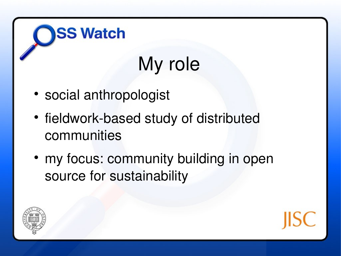# My role

social anthropologist

- fieldwork-based study of distributed communities
- my focus: community building in open source for sustainability



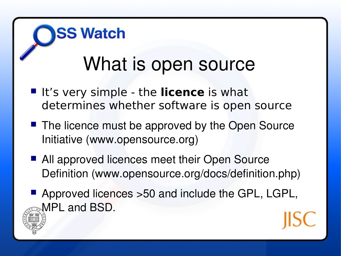# What is open source

**If** It's very simple - the **licence** is what determines whether software is open source

- The licence must be approved by the Open Source Initiative (www.opensource.org)
- All approved licences meet their Open Source Definition (www.opensource.org/docs/definition.php)
- Approved licences > 50 and include the GPL, LGPL, MPL and BSD.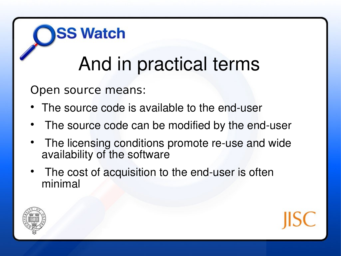# And in practical terms

Open source means:

- The source code is available to the end-user
- The source code can be modified by the end-user
- The licensing conditions promote re-use and wide availability of the software
- The cost of acquisition to the end-user is often minimal



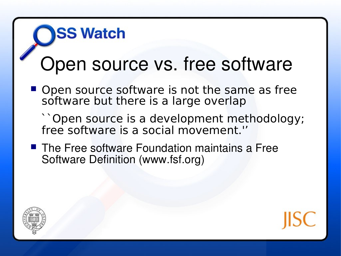## **SS Watch**

#### Open source vs. free software

- Open source software is not the same as free software but there is a large overlap
	- ``Open source is a development methodology; free software is a social movement.''
- The Free software Foundation maintains a Free Software Definition (www.fsf.org)



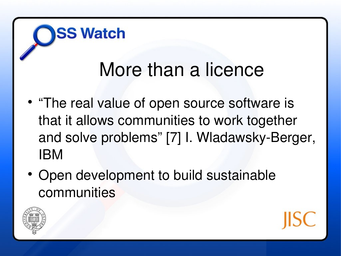#### More than a licence

- "The real value of open source software is that it allows communities to work together and solve problems" [7] I. Wladawsky-Berger, IBM
- Open development to build sustainable communities



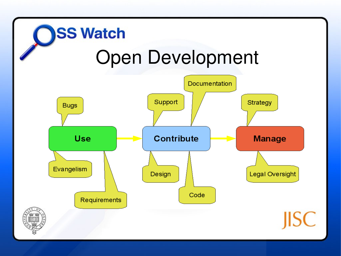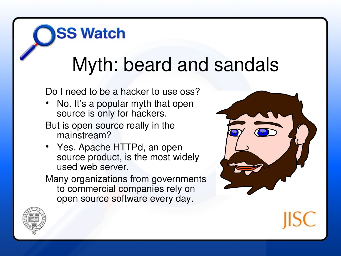# Myth: beard and sandals

Do I need to be a hacker to use oss?

- No. It's a popular myth that open source is only for hackers.
- But is open source really in the mainstream?

**SS Watch** 

 Yes. Apache HTTPd, an open source product, is the most widely used web server.

Many organizations from governments to commercial companies rely on open source software every day.



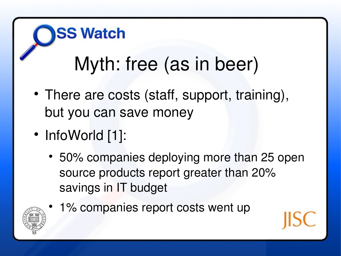# Myth: free (as in beer)

- There are costs (staff, support, training), but you can save money
- InfoWorld [1]:

- 50% companies deploying more than 25 open source products report greater than 20% savings in IT budget
	- 1% companies report costs went up

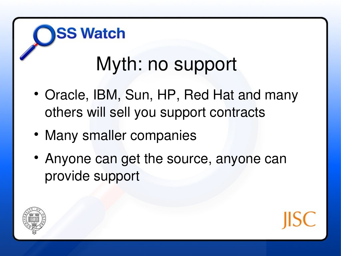# Myth: no support

- Oracle, IBM, Sun, HP, Red Hat and many others will sell you support contracts
- Many smaller companies

**SS Watch** 

 Anyone can get the source, anyone can provide support



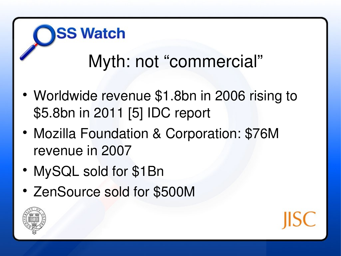# Myth: not "commercial"

- Worldwide revenue \$1.8bn in 2006 rising to \$5.8bn in 2011 [5] IDC report
- Mozilla Foundation & Corporation: \$76M revenue in 2007
- MySQL sold for \$1Bn

**SS Watch** 

ZenSource sold for \$500M



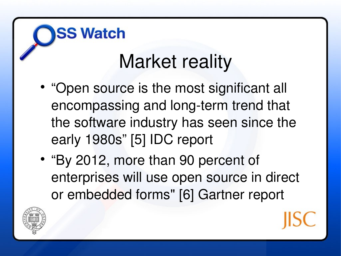# Market reality

- "Open source is the most significant all encompassing and long-term trend that the software industry has seen since the early 1980s" [5] IDC report
- "By 2012, more than 90 percent of enterprises will use open source in direct or embedded forms" [6] Gartner report

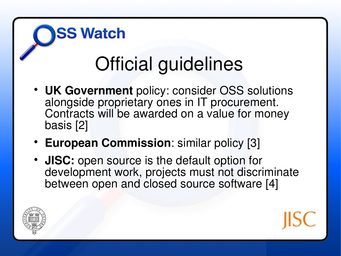# Official guidelines

- **UK Government** policy: consider OSS solutions alongside proprietary ones in IT procurement. Contracts will be awarded on a value for money basis [2]
- **European Commission**: similar policy [3]

**SS Watch** 

 **JISC:** open source is the default option for development work, projects must not discriminate between open and closed source software [4]



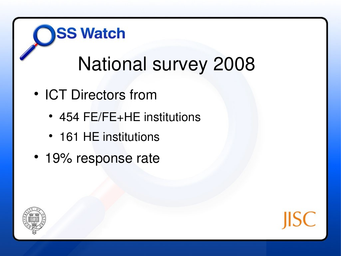# National survey 2008

• ICT Directors from

- 454 FE/FE+HE institutions
- 161 HE institutions
- 19% response rate



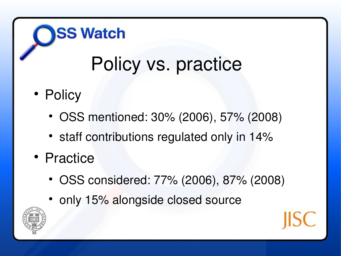# Policy vs. practice

• Policy

- OSS mentioned: 30% (2006), 57% (2008)
- staff contributions regulated only in 14%
- Practice
	- OSS considered: 77% (2006), 87% (2008)
	- only 15% alongside closed source

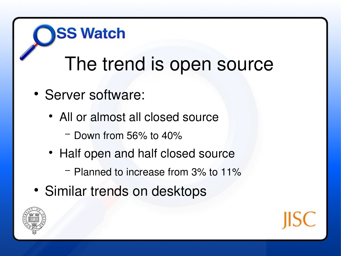# The trend is open source

• Server software:

- All or almost all closed source
	- − Down from 56% to 40%
- Half open and half closed source
	- − Planned to increase from 3% to 11%
- Similar trends on desktops



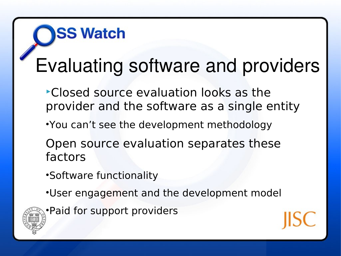# Evaluating software and providers

- Closed source evaluation looks as the provider and the software as a single entity
- •You can't see the development methodology
- Open source evaluation separates these factors
- •Software functionality

- •User engagement and the development model
- •Paid for support providers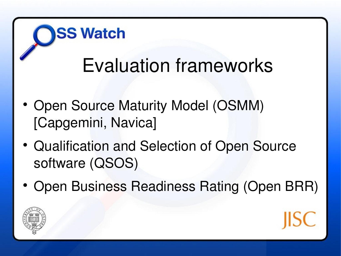# Evaluation frameworks

• Open Source Maturity Model (OSMM) [Capgemini, Navica]

- Qualification and Selection of Open Source software (QSOS)
- Open Business Readiness Rating (Open BRR)

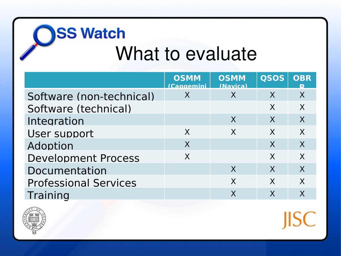# **OSS watch**<br>What to evaluate

|                              | <b>OSMM</b><br>(Cangemini | <b>OSMM</b><br>(Navica) | <b>QSOS</b> | <b>OBR</b>       |
|------------------------------|---------------------------|-------------------------|-------------|------------------|
| Software (non-technical)     | X                         | X                       | X           | X                |
| Software (technical)         |                           |                         | X           | X                |
| Integration                  |                           | X                       | X           | $\boldsymbol{X}$ |
| User support                 | X                         | X                       | X           | $\sf X$          |
| Adoption                     | X                         |                         | $\sf X$     | X                |
| <b>Development Process</b>   | X                         |                         | X           | X                |
| Documentation                |                           | X                       | X           | X                |
| <b>Professional Services</b> |                           | X                       | X           | X                |
| Training                     |                           | X                       | X           |                  |



**JISC**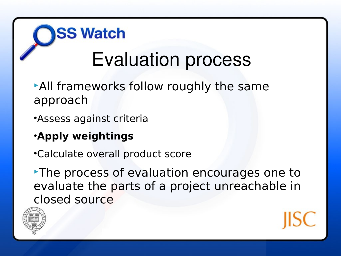## **SS Watch** Evaluation process

- All frameworks follow roughly the same approach
- •Assess against criteria
- •**Apply weightings**
- •Calculate overall product score

The process of evaluation encourages one to evaluate the parts of a project unreachable in closed source

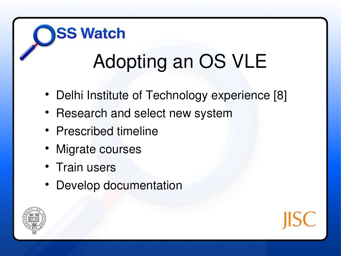# **SS Watch** Adopting an OS VLE

- Delhi Institute of Technology experience [8]
- Research and select new system
- Prescribed timeline
- Migrate courses
- Train users
- Develop documentation



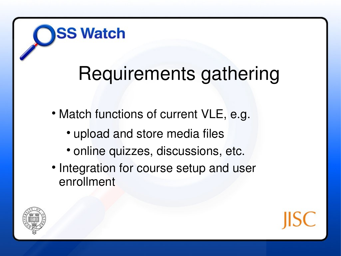## Requirements gathering

- Match functions of current VLE, e.g.
	- upload and store media files

- online quizzes, discussions, etc.
- Integration for course setup and user enrollment



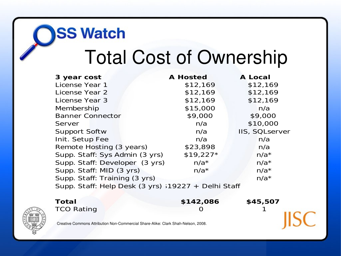## Total Cost of Ownership

| 3 year cost                                                    | <b>A Hosted</b> | <b>A Local</b> |  |  |
|----------------------------------------------------------------|-----------------|----------------|--|--|
| License Year 1                                                 | \$12,169        | \$12,169       |  |  |
| License Year 2                                                 | \$12,169        | \$12,169       |  |  |
| License Year 3                                                 | \$12,169        | \$12,169       |  |  |
| Membership                                                     | \$15,000        | n/a            |  |  |
| <b>Banner Connector</b>                                        | \$9,000         | \$9,000        |  |  |
| Server                                                         | n/a             | \$10,000       |  |  |
| <b>Support Softw</b>                                           | n/a             | IIS, SQLserver |  |  |
| Init. Setup Fee                                                | n/a             | n/a            |  |  |
| Remote Hosting (3 years)                                       | \$23,898        | n/a            |  |  |
| Supp. Staff: Sys Admin (3 yrs)                                 | $$19,227*$      | $n/a*$         |  |  |
| Supp. Staff: Developer (3 yrs)                                 | $n/a*$          | $n/a*$         |  |  |
| Supp. Staff: MID (3 yrs)                                       | $n/a*$          | $n/a*$         |  |  |
| Supp. Staff: Training (3 yrs)                                  |                 | $n/a*$         |  |  |
| Supp. Staff: Help Desk $(3 \text{ yrs})$ ; 19227 + Delhi Staff |                 |                |  |  |



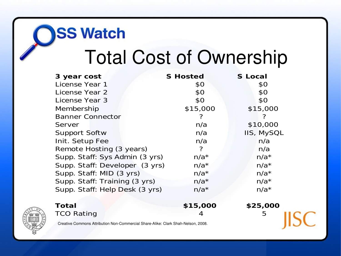## Total Cost of Ownership

| 3 year cost                                                                       | <b>S</b> Hosted | <b>S</b> Local    |
|-----------------------------------------------------------------------------------|-----------------|-------------------|
| License Year 1                                                                    | \$0             | \$0               |
| License Year 2                                                                    | \$0             | \$0               |
| License Year 3                                                                    | \$0             | \$0               |
| Membership                                                                        | \$15,000        | \$15,000          |
| <b>Banner Connector</b>                                                           |                 | ?                 |
| Server                                                                            | n/a             | \$10,000          |
| <b>Support Softw</b>                                                              | n/a             | <b>IIS, MySQL</b> |
| Init. Setup Fee                                                                   | n/a             | n/a               |
| Remote Hosting (3 years)                                                          | ?               | n/a               |
| Supp. Staff: Sys Admin (3 yrs)                                                    | $n/a*$          | $n/a*$            |
| Supp. Staff: Developer (3 yrs)                                                    | $n/a*$          | $n/a*$            |
| Supp. Staff: MID (3 yrs)                                                          | $n/a*$          | $n/a*$            |
| Supp. Staff: Training (3 yrs)                                                     | $n/a*$          | $n/a*$            |
| Supp. Staff: Help Desk (3 yrs)                                                    | $n/a*$          | $n/a*$            |
|                                                                                   |                 |                   |
| <b>Total</b>                                                                      | \$15,000        | \$25,000          |
| <b>TCO Rating</b>                                                                 | 4               | 5                 |
| Creative Commons Attribution Non-Commercial Share-Alike: Clark Shah-Nelson, 2008. |                 |                   |

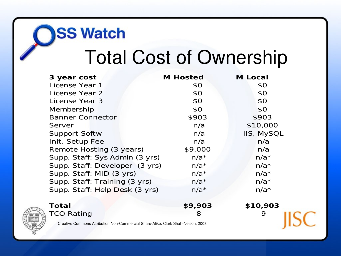# Total Cost of Ownership

| 3 year cost                                                                       | <b>M</b> Hosted | <b>M</b> Local    |
|-----------------------------------------------------------------------------------|-----------------|-------------------|
| License Year 1                                                                    | \$0             | \$0               |
| License Year 2                                                                    | \$0             | \$0               |
| License Year 3                                                                    | \$0             | \$0               |
| Membership                                                                        | \$0             | \$0               |
| <b>Banner Connector</b>                                                           | \$903           | \$903             |
| Server                                                                            | n/a             | \$10,000          |
| Support Softw                                                                     | n/a             | <b>IIS, MySQL</b> |
| Init. Setup Fee                                                                   | n/a             | n/a               |
| Remote Hosting (3 years)                                                          | \$9,000         | n/a               |
| Supp. Staff: Sys Admin (3 yrs)                                                    | $n/a*$          | $n/a*$            |
| Supp. Staff: Developer (3 yrs)                                                    | $n/a*$          | $n/a*$            |
| Supp. Staff: MID (3 yrs)                                                          | $n/a*$          | $n/a*$            |
| Supp. Staff: Training (3 yrs)                                                     | $n/a*$          | $n/a*$            |
| Supp. Staff: Help Desk (3 yrs)                                                    | $n/a*$          | $n/a*$            |
| <b>Total</b>                                                                      | \$9,903         | \$10,903          |
| <b>TCO Rating</b>                                                                 | 8               | 9                 |
| Creative Commons Attribution Non-Commercial Share-Alike: Clark Shah-Nelson, 2008. |                 |                   |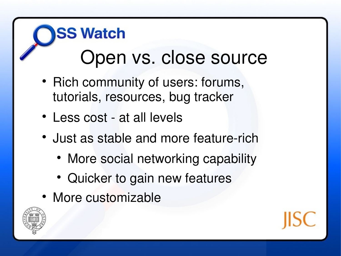## **SS Watch** Open vs. close source

- Rich community of users: forums, tutorials, resources, bug tracker
- Less cost at all levels
- Just as stable and more feature-rich
	- More social networking capability
	- Quicker to gain new features
- More customizable



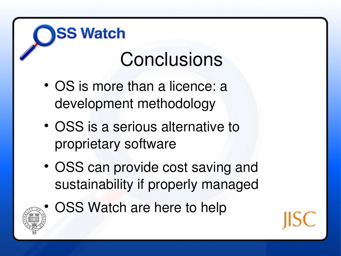## **Conclusions**

• OS is more than a licence: a development methodology

- OSS is a serious alternative to proprietary software
- OSS can provide cost saving and sustainability if properly managed
- OSS Watch are here to help

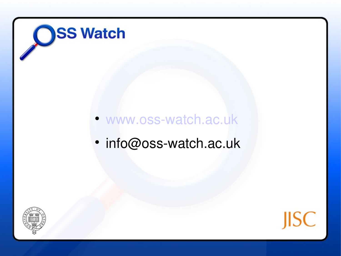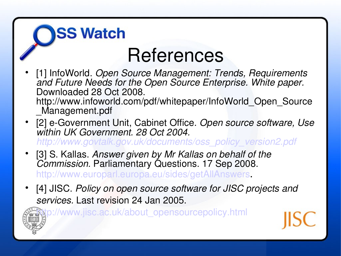# References

- [1] InfoWorld. *Open Source Management: Trends, Requirements*  and Future Needs for the Open Source Enterprise. White paper. Downloaded 28 Oct 2008. http://www.infoworld.com/pdf/whitepaper/InfoWorld\_Open\_Source \_Management.pdf
- [2] e-Government Unit, Cabinet Office. Open source software, Use *within UK Government. 28 Oct 2004. [http://www.govtalk.gov.uk/documents/oss\\_policy\\_version2.pdf](http://www.govtalk.gov.uk/documents/oss_policy_version2.pdf)*
- [3] S. Kallas. *Answer given by Mr Kallas on behalf of the Commission.* Parliamentary Questions. 17 Sep 2008. <http://www.europarl.europa.eu/sides/getAllAnswers>.

**SS Watch** 

 [4] JISC. *Policy on open source software for JISC projects and services.* Last revision 24 Jan 2005.